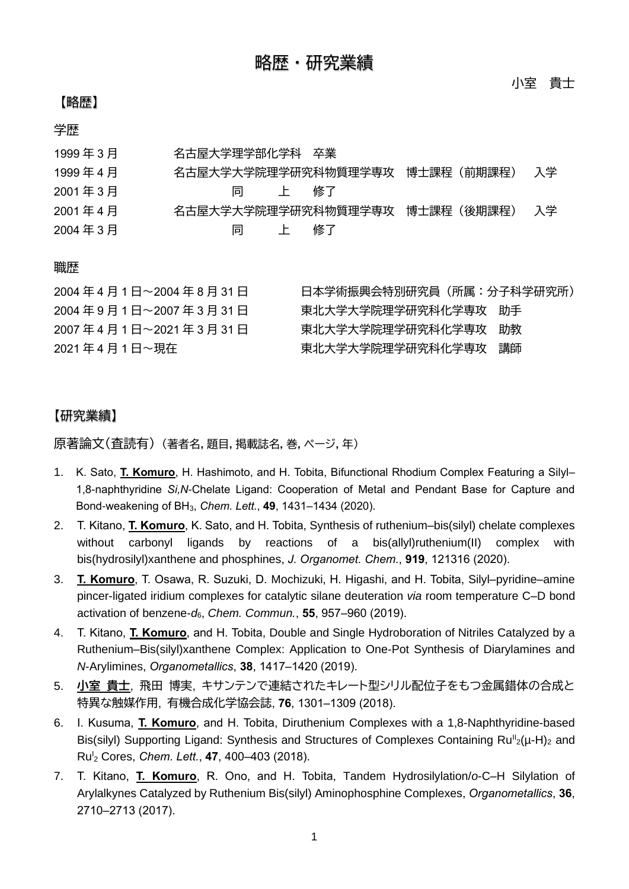# 【略歴】

小室 貴士

## 学歴

| 1999年3月 | 名古屋大学理学部化学科 卒業                 |    |
|---------|--------------------------------|----|
| 1999年4月 | 名古屋大学大学院理学研究科物質理学専攻 博士課程(前期課程) | 入学 |
| 2001年3月 | 修了<br>同<br>$\mathbf{E}$        |    |
| 2001年4月 | 名古屋大学大学院理学研究科物質理学専攻 博士課程(後期課程) | 入学 |
| 2004年3月 | 修了<br>同<br>$\mathbf{E}$        |    |

#### 職歴

| 2004年4月1日~2004年8月31日 | 日本学術振興会特別研究員(所属:分子科学研究所) |  |
|----------------------|--------------------------|--|
| 2004年9月1日~2007年3月31日 | 東北大学大学院理学研究科化学専攻 助手      |  |
| 2007年4月1日~2021年3月31日 | 東北大学大学院理学研究科化学専攻 助教      |  |
| 2021年4月1日~現在         | 東北大学大学院理学研究科化学専攻 講師      |  |

## 【研究業績】

原著論文(査読有) (著者名,題目,掲載誌名,巻,ページ,年)

- 1. K. Sato, **T. Komuro**, H. Hashimoto, and H. Tobita, Bifunctional Rhodium Complex Featuring a Silyl– 1,8-naphthyridine *Si,N*-Chelate Ligand: Cooperation of Metal and Pendant Base for Capture and Bond-weakening of BH3, *Chem. Lett.*, **49**, 1431–1434 (2020).
- 2. T. Kitano, **T. Komuro**, K. Sato, and H. Tobita, Synthesis of ruthenium–bis(silyl) chelate complexes without carbonyl ligands by reactions of a bis(allyl)ruthenium(II) complex with bis(hydrosilyl)xanthene and phosphines, *J. Organomet. Chem.*, **919**, 121316 (2020).
- 3. **T. Komuro**, T. Osawa, R. Suzuki, D. Mochizuki, H. Higashi, and H. Tobita, Silyl–pyridine–amine pincer-ligated iridium complexes for catalytic silane deuteration *via* room temperature C–D bond activation of benzene-*d*6, *Chem. Commun.*, **55**, 957–960 (2019).
- 4. T. Kitano, **T. Komuro**, and H. Tobita, Double and Single Hydroboration of Nitriles Catalyzed by a Ruthenium–Bis(silyl)xanthene Complex: Application to One-Pot Synthesis of Diarylamines and *N*-Arylimines, *Organometallics*, **38**, 1417–1420 (2019).
- 5. **小室 貴士**, 飛田 博実, キサンテンで連結されたキレート型シリル配位子をもつ金属錯体の合成と 特異な触媒作用, 有機合成化学協会誌, **76**, 1301–1309 (2018).
- 6. I. Kusuma, **T. Komuro**, and H. Tobita, Diruthenium Complexes with a 1,8-Naphthyridine-based Bis(silyl) Supporting Ligand: Synthesis and Structures of Complexes Containing  $Ru^{\parallel}_{2}(\mu-H)_{2}$  and Ru<sup>I</sup> <sup>2</sup> Cores, *Chem. Lett.*, **47**, 400–403 (2018).
- 7. T. Kitano, **T. Komuro**, R. Ono, and H. Tobita, Tandem Hydrosilylation/*o*-C–H Silylation of Arylalkynes Catalyzed by Ruthenium Bis(silyl) Aminophosphine Complexes, *Organometallics*, **36**, 2710–2713 (2017).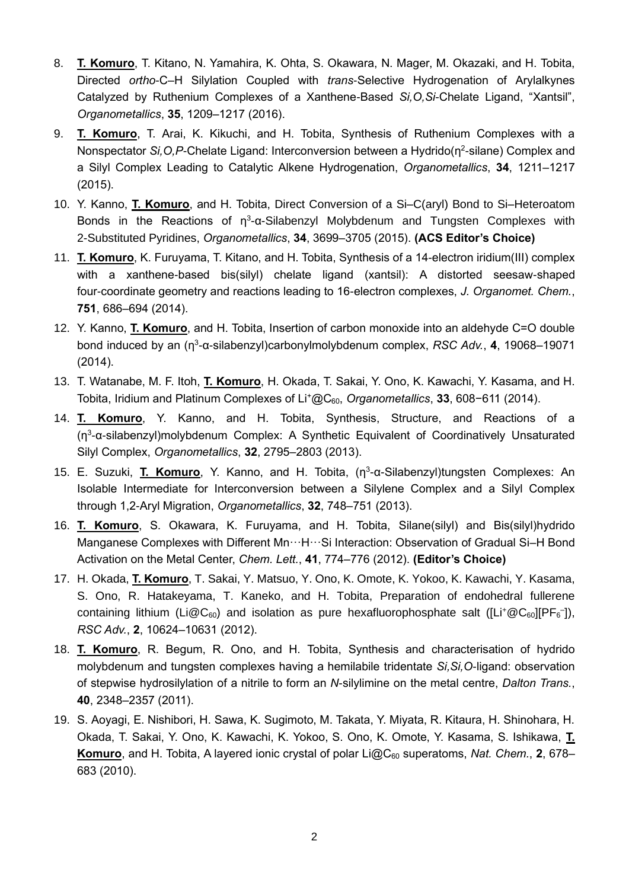- 8. **T. Komuro**, T. Kitano, N. Yamahira, K. Ohta, S. Okawara, N. Mager, M. Okazaki, and H. Tobita, Directed *ortho*-C–H Silylation Coupled with *trans*-Selective Hydrogenation of Arylalkynes Catalyzed by Ruthenium Complexes of a Xanthene-Based *Si,O,Si*-Chelate Ligand, "Xantsil", *Organometallics*, **35**, 1209–1217 (2016).
- 9. **T. Komuro**, T. Arai, K. Kikuchi, and H. Tobita, Synthesis of Ruthenium Complexes with a Nonspectator Si, O, P-Chelate Ligand: Interconversion between a Hydrido(n<sup>2</sup>-silane) Complex and a Silyl Complex Leading to Catalytic Alkene Hydrogenation, *Organometallics*, **34**, 1211–1217 (2015).
- 10. Y. Kanno, **T. Komuro**, and H. Tobita, Direct Conversion of a Si–C(aryl) Bond to Si–Heteroatom Bonds in the Reactions of  $\eta^3$ -α-Silabenzyl Molybdenum and Tungsten Complexes with 2-Substituted Pyridines, *Organometallics*, **34**, 3699–3705 (2015). **(ACS Editor's Choice)**
- 11. **T. Komuro**, K. Furuyama, T. Kitano, and H. Tobita, Synthesis of a 14-electron iridium(III) complex with a xanthene-based bis(silyl) chelate ligand (xantsil): A distorted seesaw-shaped four-coordinate geometry and reactions leading to 16-electron complexes, *J. Organomet. Chem.*, **751**, 686–694 (2014).
- 12. Y. Kanno, **T. Komuro**, and H. Tobita, Insertion of carbon monoxide into an aldehyde C=O double bond induced by an (η<sup>3</sup>-α-silabenzyl)carbonylmolybdenum complex, *RSC Adv.*, **4**, 19068–19071 (2014).
- 13. T. Watanabe, M. F. Itoh, **T. Komuro**, H. Okada, T. Sakai, Y. Ono, K. Kawachi, Y. Kasama, and H. Tobita, Iridium and Platinum Complexes of Li<sup>+</sup>@C60, *Organometallics*, **33**, 608−611 (2014).
- 14. **T. Komuro**, Y. Kanno, and H. Tobita, Synthesis, Structure, and Reactions of a (η 3 -α-silabenzyl)molybdenum Complex: A Synthetic Equivalent of Coordinatively Unsaturated Silyl Complex, *Organometallics*, **32**, 2795–2803 (2013).
- 15. E. Suzuki, **T. Komuro**, Y. Kanno, and H. Tobita, (η<sup>3</sup>-α-Silabenzyl)tungsten Complexes: An Isolable Intermediate for Interconversion between a Silylene Complex and a Silyl Complex through 1,2-Aryl Migration, *Organometallics*, **32**, 748–751 (2013).
- 16. **T. Komuro**, S. Okawara, K. Furuyama, and H. Tobita, Silane(silyl) and Bis(silyl)hydrido Manganese Complexes with Different Mn ··· H ··· Si Interaction: Observation of Gradual Si-H Bond Activation on the Metal Center, *Chem. Lett.*, **41**, 774–776 (2012). **(Editor's Choice)**
- 17. H. Okada, **T. Komuro**, T. Sakai, Y. Matsuo, Y. Ono, K. Omote, K. Yokoo, K. Kawachi, Y. Kasama, S. Ono, R. Hatakeyama, T. Kaneko, and H. Tobita, Preparation of endohedral fullerene containing lithium (Li@C<sub>60</sub>) and isolation as pure hexafluorophosphate salt ([Li<sup>+</sup>@C<sub>60</sub>][PF<sub>6</sub><sup>-</sup>]), *RSC Adv.*, **2**, 10624–10631 (2012).
- 18. **T. Komuro**, R. Begum, R. Ono, and H. Tobita, Synthesis and characterisation of hydrido molybdenum and tungsten complexes having a hemilabile tridentate *Si,Si,O*-ligand: observation of stepwise hydrosilylation of a nitrile to form an *N*-silylimine on the metal centre, *Dalton Trans.*, **40**, 2348–2357 (2011).
- 19. S. Aoyagi, E. Nishibori, H. Sawa, K. Sugimoto, M. Takata, Y. Miyata, R. Kitaura, H. Shinohara, H. Okada, T. Sakai, Y. Ono, K. Kawachi, K. Yokoo, S. Ono, K. Omote, Y. Kasama, S. Ishikawa, **T. Komuro**, and H. Tobita, A layered ionic crystal of polar Li@C<sup>60</sup> superatoms, *Nat. Chem.*, **2**, 678– 683 (2010).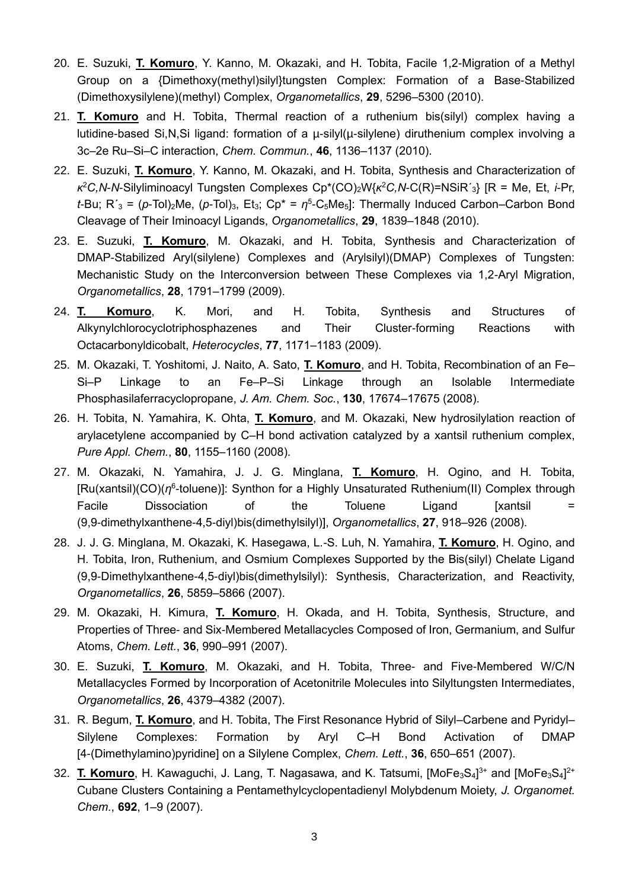- 20. E. Suzuki, **T. Komuro**, Y. Kanno, M. Okazaki, and H. Tobita, Facile 1,2-Migration of a Methyl Group on a {Dimethoxy(methyl)silyl}tungsten Complex: Formation of a Base-Stabilized (Dimethoxysilylene)(methyl) Complex, *Organometallics*, **29**, 5296–5300 (2010).
- 21. **T. Komuro** and H. Tobita, Thermal reaction of a ruthenium bis(silyl) complex having a lutidine-based Si,N,Si ligand: formation of a µ-silyl(µ-silylene) diruthenium complex involving a 3c–2e Ru–Si–C interaction, *Chem. Commun.*, **46**, 1136–1137 (2010).
- 22. E. Suzuki, **T. Komuro**, Y. Kanno, M. Okazaki, and H. Tobita, Synthesis and Characterization of *κ* <sup>2</sup>*C,N*-*N*-Silyliminoacyl Tungsten Complexes Cp\*(CO)2W{*κ* <sup>2</sup>*C,N*-C(R)=NSiR´3} [R = Me, Et, *i*-Pr,  $t$ -Bu; R'<sub>3</sub> = ( $p$ -Tol)<sub>2</sub>Me, ( $p$ -Tol)<sub>3</sub>, Et<sub>3</sub>; C $p^* = \eta^5$ -C<sub>5</sub>Me<sub>5</sub>]: Thermally Induced Carbon–Carbon Bond Cleavage of Their Iminoacyl Ligands, *Organometallics*, **29**, 1839–1848 (2010).
- 23. E. Suzuki, **T. Komuro**, M. Okazaki, and H. Tobita, Synthesis and Characterization of DMAP-Stabilized Aryl(silylene) Complexes and (Arylsilyl)(DMAP) Complexes of Tungsten: Mechanistic Study on the Interconversion between These Complexes via 1,2-Aryl Migration, *Organometallics*, **28**, 1791–1799 (2009).
- 24. **T. Komuro**, K. Mori, and H. Tobita, Synthesis and Structures of Alkynylchlorocyclotriphosphazenes and Their Cluster-forming Reactions with Octacarbonyldicobalt, *Heterocycles*, **77**, 1171–1183 (2009).
- 25. M. Okazaki, T. Yoshitomi, J. Naito, A. Sato, **T. Komuro**, and H. Tobita, Recombination of an Fe– Si–P Linkage to an Fe–P–Si Linkage through an Isolable Intermediate Phosphasilaferracyclopropane, *J. Am. Chem. Soc.*, **130**, 17674–17675 (2008).
- 26. H. Tobita, N. Yamahira, K. Ohta, **T. Komuro**, and M. Okazaki, New hydrosilylation reaction of arylacetylene accompanied by C–H bond activation catalyzed by a xantsil ruthenium complex, *Pure Appl. Chem.*, **80**, 1155–1160 (2008).
- 27. M. Okazaki, N. Yamahira, J. J. G. Minglana, **T. Komuro**, H. Ogino, and H. Tobita, [Ru(xantsil)(CO)(n<sup>6</sup>-toluene)]: Synthon for a Highly Unsaturated Ruthenium(II) Complex through Facile Dissociation of the Toluene Ligand [xantsil = (9,9-dimethylxanthene-4,5-diyl)bis(dimethylsilyl)], *Organometallics*, **27**, 918–926 (2008).
- 28. J. J. G. Minglana, M. Okazaki, K. Hasegawa, L.-S. Luh, N. Yamahira, **T. Komuro**, H. Ogino, and H. Tobita, Iron, Ruthenium, and Osmium Complexes Supported by the Bis(silyl) Chelate Ligand (9,9-Dimethylxanthene-4,5-diyl)bis(dimethylsilyl): Synthesis, Characterization, and Reactivity, *Organometallics*, **26**, 5859–5866 (2007).
- 29. M. Okazaki, H. Kimura, **T. Komuro**, H. Okada, and H. Tobita, Synthesis, Structure, and Properties of Three- and Six-Membered Metallacycles Composed of Iron, Germanium, and Sulfur Atoms, *Chem. Lett.*, **36**, 990–991 (2007).
- 30. E. Suzuki, **T. Komuro**, M. Okazaki, and H. Tobita, Three- and Five-Membered W/C/N Metallacycles Formed by Incorporation of Acetonitrile Molecules into Silyltungsten Intermediates, *Organometallics*, **26**, 4379–4382 (2007).
- 31. R. Begum, **T. Komuro**, and H. Tobita, The First Resonance Hybrid of Silyl–Carbene and Pyridyl– Silylene Complexes: Formation by Aryl C–H Bond Activation of DMAP [4-(Dimethylamino)pyridine] on a Silylene Complex, *Chem. Lett.*, **36**, 650–651 (2007).
- 32. T. Komuro, H. Kawaguchi, J. Lang, T. Nagasawa, and K. Tatsumi, [MoFe<sub>3</sub>S<sub>4</sub>]<sup>3+</sup> and [MoFe<sub>3</sub>S<sub>4</sub>]<sup>2+</sup> Cubane Clusters Containing a Pentamethylcyclopentadienyl Molybdenum Moiety, *J. Organomet. Chem.*, **692**, 1–9 (2007).